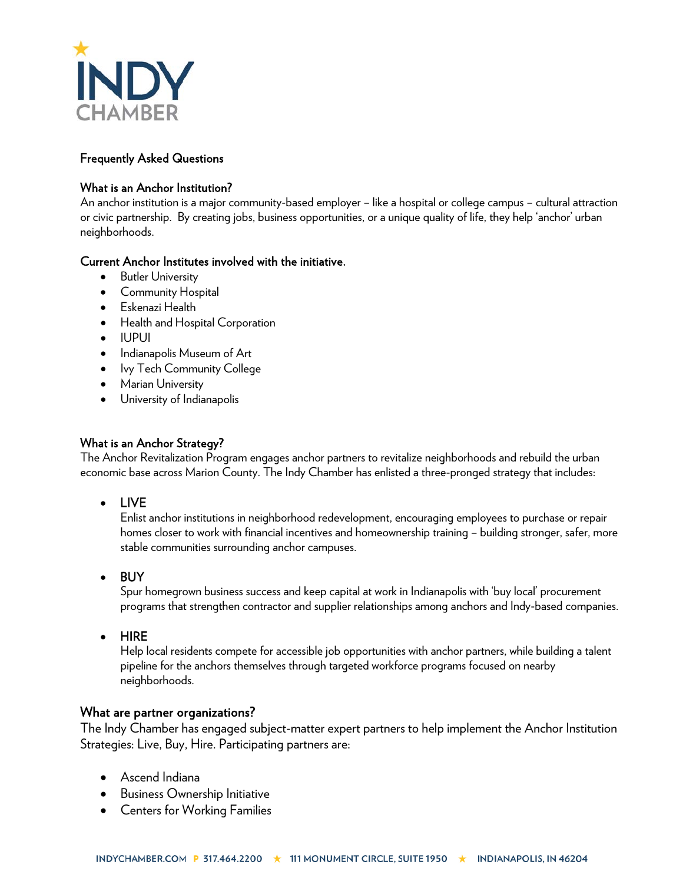

# Frequently Asked Questions

#### What is an Anchor Institution?

An anchor institution is a major community-based employer – like a hospital or college campus – cultural attraction or civic partnership. By creating jobs, business opportunities, or a unique quality of life, they help 'anchor' urban neighborhoods.

#### Current Anchor Institutes involved with the initiative.

- **Butler University**
- Community Hospital
- Eskenazi Health
- Health and Hospital Corporation
- IUPUI
- Indianapolis Museum of Art
- Ivy Tech Community College
- Marian University
- University of Indianapolis

#### What is an Anchor Strategy?

The Anchor Revitalization Program engages anchor partners to revitalize neighborhoods and rebuild the urban economic base across Marion County. The Indy Chamber has enlisted a three-pronged strategy that includes:

• LIVE

Enlist anchor institutions in neighborhood redevelopment, encouraging employees to purchase or repair homes closer to work with financial incentives and homeownership training – building stronger, safer, more stable communities surrounding anchor campuses.

• BUY

Spur homegrown business success and keep capital at work in Indianapolis with 'buy local' procurement programs that strengthen contractor and supplier relationships among anchors and Indy-based companies.

• HIRE

Help local residents compete for accessible job opportunities with anchor partners, while building a talent pipeline for the anchors themselves through targeted workforce programs focused on nearby neighborhoods.

#### What are partner organizations?

The Indy Chamber has engaged subject-matter expert partners to help implement the Anchor Institution Strategies: Live, Buy, Hire. Participating partners are:

- Ascend Indiana
- Business Ownership Initiative
- Centers for Working Families